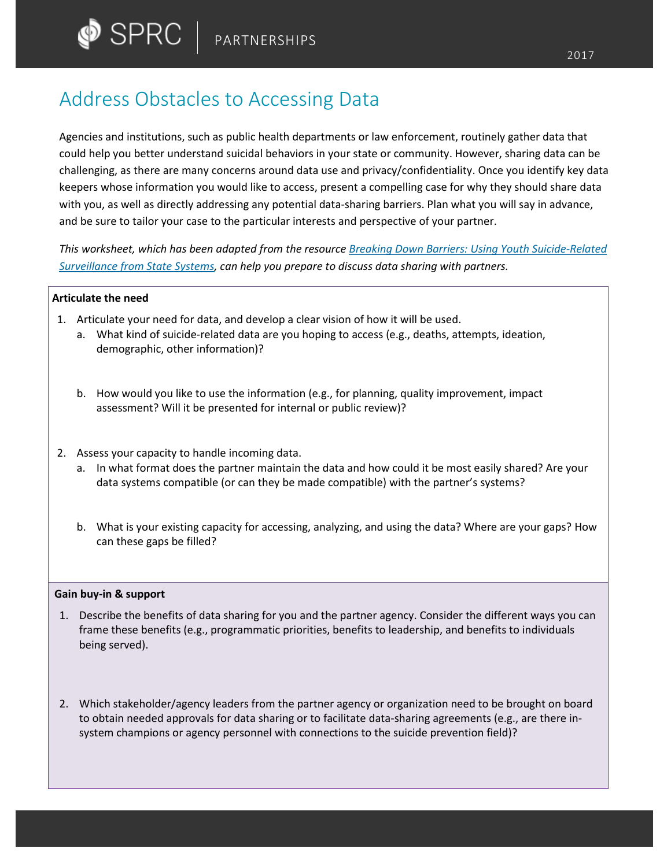# Address Obstacles to Accessing Data

Agencies and institutions, such as public health departments or law enforcement, routinely gather data that could help you better understand suicidal behaviors in your state or community. However, sharing data can be challenging, as there are many concerns around data use and privacy/confidentiality. Once you identify key data keepers whose information you would like to access, present a compelling case for why they should share data with you, as well as directly addressing any potential data-sharing barriers. Plan what you will say in advance, and be sure to tailor your case to the particular interests and perspective of your partner.

*This worksheet, which has been adapted from the resource [Breaking Down Barriers: Using Youth Suicide-Related](http://www.sprc.org/resources-programs/breaking-down-barriers-using-youth-suicide-related-surveillance-data-state)  [Surveillance from State Systems,](http://www.sprc.org/resources-programs/breaking-down-barriers-using-youth-suicide-related-surveillance-data-state) can help you prepare to discuss data sharing with partners.* 

## **Articulate the need**

- 1. Articulate your need for data, and develop a clear vision of how it will be used.
	- a. What kind of suicide-related data are you hoping to access (e.g., deaths, attempts, ideation, demographic, other information)?
	- b. How would you like to use the information (e.g., for planning, quality improvement, impact assessment? Will it be presented for internal or public review)?
- 2. Assess your capacity to handle incoming data.
	- a. In what format does the partner maintain the data and how could it be most easily shared? Are your data systems compatible (or can they be made compatible) with the partner's systems?
	- b. What is your existing capacity for accessing, analyzing, and using the data? Where are your gaps? How can these gaps be filled?

### **Gain buy-in & support**

- 1. Describe the benefits of data sharing for you and the partner agency. Consider the different ways you can frame these benefits (e.g., programmatic priorities, benefits to leadership, and benefits to individuals being served).
- 2. Which stakeholder/agency leaders from the partner agency or organization need to be brought on board to obtain needed approvals for data sharing or to facilitate data-sharing agreements (e.g., are there insystem champions or agency personnel with connections to the suicide prevention field)?